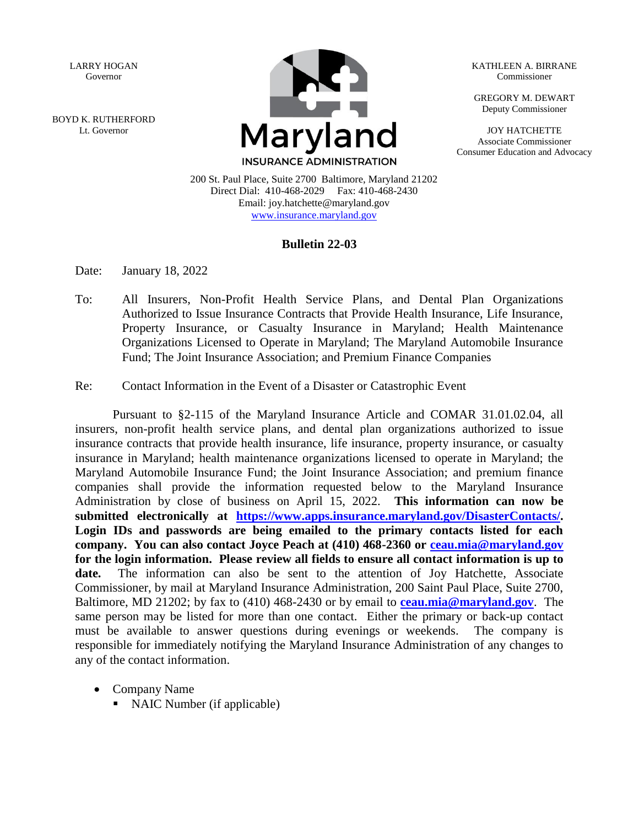LARRY HOGAN Governor

BOYD K. RUTHERFORD Lt. Governor



KATHLEEN A. BIRRANE Commissioner

GREGORY M. DEWART Deputy Commissioner

JOY HATCHETTE Associate Commissioner Consumer Education and Advocacy

200 St. Paul Place, Suite 2700 Baltimore, Maryland 21202 Direct Dial: 410-468-2029 Fax: 410-468-2430 Email: joy.hatchette@maryland.gov [www.insurance.maryland.gov](http://www.insurance.maryland.gov/)

## **Bulletin 22-03**

Date: January 18, 2022

To: All Insurers, Non-Profit Health Service Plans, and Dental Plan Organizations Authorized to Issue Insurance Contracts that Provide Health Insurance, Life Insurance, Property Insurance, or Casualty Insurance in Maryland; Health Maintenance Organizations Licensed to Operate in Maryland; The Maryland Automobile Insurance Fund; The Joint Insurance Association; and Premium Finance Companies

Re: Contact Information in the Event of a Disaster or Catastrophic Event

Pursuant to §2-115 of the Maryland Insurance Article and COMAR 31.01.02.04, all insurers, non-profit health service plans, and dental plan organizations authorized to issue insurance contracts that provide health insurance, life insurance, property insurance, or casualty insurance in Maryland; health maintenance organizations licensed to operate in Maryland; the Maryland Automobile Insurance Fund; the Joint Insurance Association; and premium finance companies shall provide the information requested below to the Maryland Insurance Administration by close of business on April 15, 2022. **This information can now be submitted electronically at [https://www.apps.insurance.maryland.gov/DisasterContacts/.](https://www.apps.insurance.maryland.gov/DisasterContacts/) Login IDs and passwords are being emailed to the primary contacts listed for each company. You can also contact Joyce Peach at (410) 468-2360 or [ceau.mia@maryland.gov](mailto:ceau.mia@maryland.gov) for the login information. Please review all fields to ensure all contact information is up to date.** The information can also be sent to the attention of Joy Hatchette, Associate Commissioner, by mail at Maryland Insurance Administration, 200 Saint Paul Place, Suite 2700, Baltimore, MD 21202; by fax to (410) 468-2430 or by email to **[ceau.mia@maryland.gov](mailto:ceau.mia@maryland.gov)**. The same person may be listed for more than one contact. Either the primary or back-up contact must be available to answer questions during evenings or weekends. The company is responsible for immediately notifying the Maryland Insurance Administration of any changes to any of the contact information.

- Company Name
	- NAIC Number (if applicable)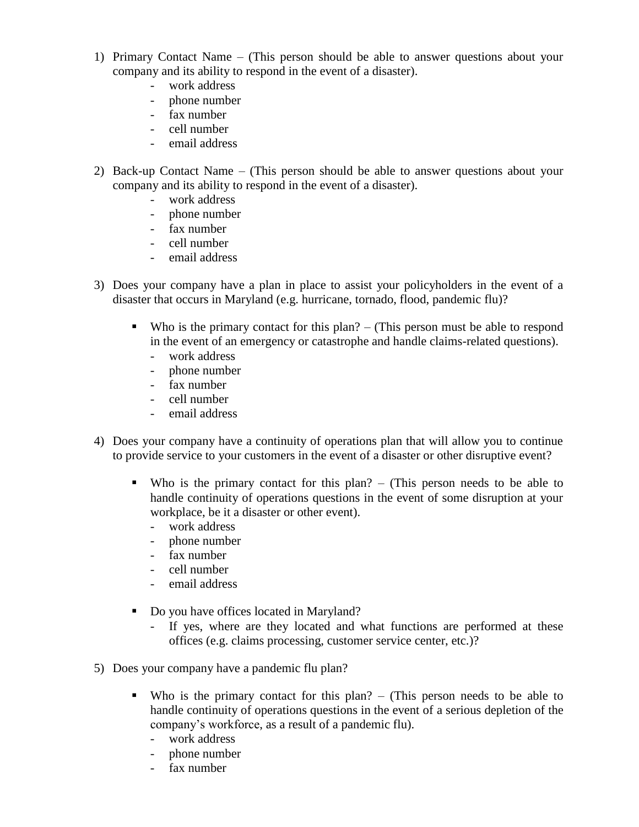- 1) Primary Contact Name (This person should be able to answer questions about your company and its ability to respond in the event of a disaster).
	- work address
	- phone number
	- fax number
	- cell number
	- email address
- 2) Back-up Contact Name (This person should be able to answer questions about your company and its ability to respond in the event of a disaster).
	- work address
	- phone number
	- fax number
	- cell number
	- email address
- 3) Does your company have a plan in place to assist your policyholders in the event of a disaster that occurs in Maryland (e.g. hurricane, tornado, flood, pandemic flu)?
	- Who is the primary contact for this plan? (This person must be able to respond in the event of an emergency or catastrophe and handle claims-related questions).
		- work address
		- phone number
		- fax number
		- cell number
		- email address
- 4) Does your company have a continuity of operations plan that will allow you to continue to provide service to your customers in the event of a disaster or other disruptive event?
	- Who is the primary contact for this plan? (This person needs to be able to handle continuity of operations questions in the event of some disruption at your workplace, be it a disaster or other event).
		- work address
		- phone number
		- fax number
		- cell number
		- email address
	- Do you have offices located in Maryland?
		- If yes, where are they located and what functions are performed at these offices (e.g. claims processing, customer service center, etc.)?
- 5) Does your company have a pandemic flu plan?
	- Who is the primary contact for this plan? (This person needs to be able to handle continuity of operations questions in the event of a serious depletion of the company's workforce, as a result of a pandemic flu).
		- work address
		- phone number
		- fax number